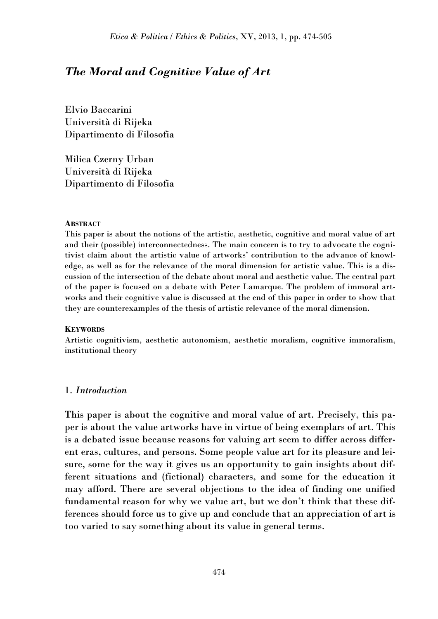# *The Moral and Cognitive Value of Art*

Elvio Baccarini Università di Rijeka Dipartimento di Filosofia

Milica Czerny Urban Università di Rijeka Dipartimento di Filosofia

#### **ABSTRACT**

This paper is about the notions of the artistic, aesthetic, cognitive and moral value of art and their (possible) interconnectedness. The main concern is to try to advocate the cognitivist claim about the artistic value of artworks' contribution to the advance of knowledge, as well as for the relevance of the moral dimension for artistic value. This is a discussion of the intersection of the debate about moral and aesthetic value. The central part of the paper is focused on a debate with Peter Lamarque. The problem of immoral artworks and their cognitive value is discussed at the end of this paper in order to show that they are counterexamples of the thesis of artistic relevance of the moral dimension.

## **KEYWORDS**

Artistic cognitivism, aesthetic autonomism, aesthetic moralism, cognitive immoralism, institutional theory

# 1. *Introduction*

This paper is about the cognitive and moral value of art. Precisely, this paper is about the value artworks have in virtue of being exemplars of art. This is a debated issue because reasons for valuing art seem to differ across different eras, cultures, and persons. Some people value art for its pleasure and leisure, some for the way it gives us an opportunity to gain insights about different situations and (fictional) characters, and some for the education it may afford. There are several objections to the idea of finding one unified fundamental reason for why we value art, but we don't think that these differences should force us to give up and conclude that an appreciation of art is too varied to say something about its value in general terms.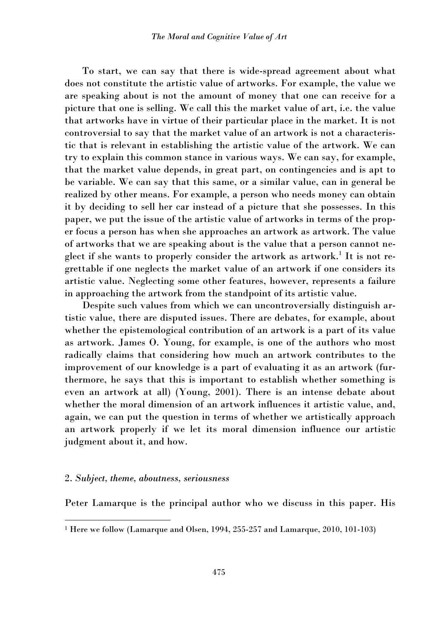To start, we can say that there is wide-spread agreement about what does not constitute the artistic value of artworks. For example, the value we are speaking about is not the amount of money that one can receive for a picture that one is selling. We call this the market value of art, i.e. the value that artworks have in virtue of their particular place in the market. It is not controversial to say that the market value of an artwork is not a characteristic that is relevant in establishing the artistic value of the artwork. We can try to explain this common stance in various ways. We can say, for example, that the market value depends, in great part, on contingencies and is apt to be variable. We can say that this same, or a similar value, can in general be realized by other means. For example, a person who needs money can obtain it by deciding to sell her car instead of a picture that she possesses. In this paper, we put the issue of the artistic value of artworks in terms of the proper focus a person has when she approaches an artwork as artwork. The value of artworks that we are speaking about is the value that a person cannot neglect if she wants to properly consider the artwork as artwork.<sup>1</sup> It is not regrettable if one neglects the market value of an artwork if one considers its artistic value. Neglecting some other features, however, represents a failure in approaching the artwork from the standpoint of its artistic value.

Despite such values from which we can uncontroversially distinguish artistic value, there are disputed issues. There are debates, for example, about whether the epistemological contribution of an artwork is a part of its value as artwork. James O. Young, for example, is one of the authors who most radically claims that considering how much an artwork contributes to the improvement of our knowledge is a part of evaluating it as an artwork (furthermore, he says that this is important to establish whether something is even an artwork at all) (Young, 2001). There is an intense debate about whether the moral dimension of an artwork influences it artistic value, and, again, we can put the question in terms of whether we artistically approach an artwork properly if we let its moral dimension influence our artistic judgment about it, and how.

#### 2. *Subject, theme, aboutness, seriousness*

 $\overline{a}$ 

Peter Lamarque is the principal author who we discuss in this paper. His

<sup>1</sup> Here we follow (Lamarque and Olsen, 1994, 255-257 and Lamarque, 2010, 101-103)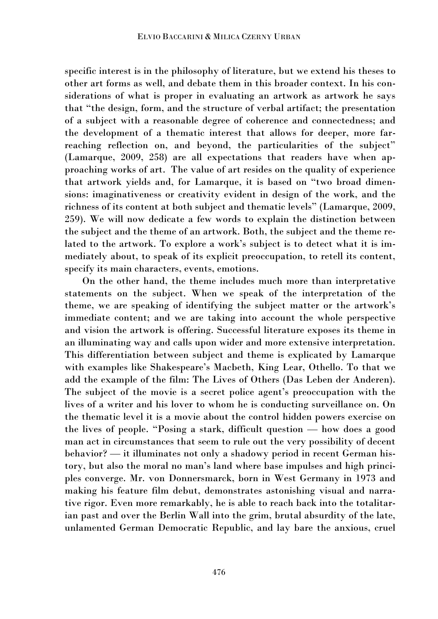specific interest is in the philosophy of literature, but we extend his theses to other art forms as well, and debate them in this broader context. In his considerations of what is proper in evaluating an artwork as artwork he says that "the design, form, and the structure of verbal artifact; the presentation of a subject with a reasonable degree of coherence and connectedness; and the development of a thematic interest that allows for deeper, more farreaching reflection on, and beyond, the particularities of the subject" (Lamarque, 2009, 258) are all expectations that readers have when approaching works of art. The value of art resides on the quality of experience that artwork yields and, for Lamarque, it is based on "two broad dimensions: imaginativeness or creativity evident in design of the work, and the richness of its content at both subject and thematic levels" (Lamarque, 2009, 259). We will now dedicate a few words to explain the distinction between the subject and the theme of an artwork. Both, the subject and the theme related to the artwork. To explore a work's subject is to detect what it is immediately about, to speak of its explicit preoccupation, to retell its content, specify its main characters, events, emotions.

On the other hand, the theme includes much more than interpretative statements on the subject. When we speak of the interpretation of the theme, we are speaking of identifying the subject matter or the artwork's immediate content; and we are taking into account the whole perspective and vision the artwork is offering. Successful literature exposes its theme in an illuminating way and calls upon wider and more extensive interpretation. This differentiation between subject and theme is explicated by Lamarque with examples like Shakespeare's Macbeth, King Lear, Othello. To that we add the example of the film: The Lives of Others (Das Leben der Anderen). The subject of the movie is a secret police agent's preoccupation with the lives of a writer and his lover to whom he is conducting surveillance on. On the thematic level it is a movie about the control hidden powers exercise on the lives of people. "Posing a stark, difficult question — how does a good man act in circumstances that seem to rule out the very possibility of decent behavior? — it illuminates not only a shadowy period in recent German history, but also the moral no man's land where base impulses and high principles converge. Mr. von Donnersmarck, born in West Germany in 1973 and making his feature film debut, demonstrates astonishing visual and narrative rigor. Even more remarkably, he is able to reach back into the totalitarian past and over the Berlin Wall into the grim, brutal absurdity of the late, unlamented German Democratic Republic, and lay bare the anxious, cruel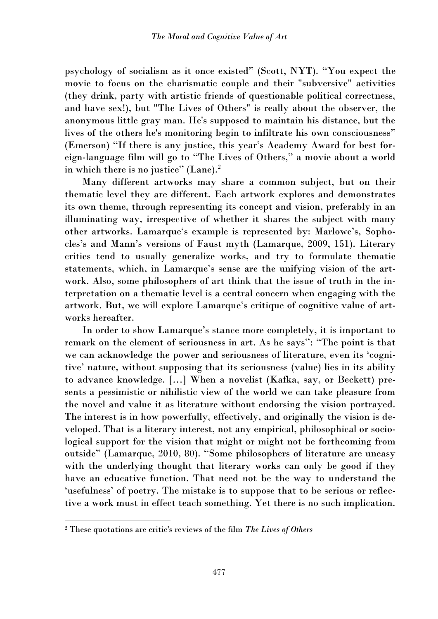psychology of socialism as it once existed" (Scott, NYT). "You expect the movie to focus on the charismatic couple and their "subversive" activities (they drink, party with artistic friends of questionable political correctness, and have sex!), but ["The Lives of Others"](http://rogerebert.suntimes.com/apps/pbcs.dll/classifieds?category=REVIEWS01&TITLESearch=The%20Lives%20of%20Others&ToDate=20121231) is really about the observer, the anonymous little gray man. He's supposed to maintain his distance, but the lives of the others he's monitoring begin to infiltrate his own consciousness" (Emerson) "If there is any justice, this year's Academy Award for best foreign-language film will go to "The Lives of Others," a movie about a world in which there is no justice"  $(Lane)^2$ .

Many different artworks may share a common subject, but on their thematic level they are different. Each artwork explores and demonstrates its own theme, through representing its concept and vision, preferably in an illuminating way, irrespective of whether it shares the subject with many other artworks. Lamarque's example is represented by: Marlowe's, Sophocles's and Mann's versions of Faust myth (Lamarque, 2009, 151). Literary critics tend to usually generalize works, and try to formulate thematic statements, which, in Lamarque's sense are the unifying vision of the artwork. Also, some philosophers of art think that the issue of truth in the interpretation on a thematic level is a central concern when engaging with the artwork. But, we will explore Lamarque's critique of cognitive value of artworks hereafter.

In order to show Lamarque's stance more completely, it is important to remark on the element of seriousness in art. As he says": "The point is that we can acknowledge the power and seriousness of literature, even its 'cognitive' nature, without supposing that its seriousness (value) lies in its ability to advance knowledge. […] When a novelist (Kafka, say, or Beckett) presents a pessimistic or nihilistic view of the world we can take pleasure from the novel and value it as literature without endorsing the vision portrayed. The interest is in how powerfully, effectively, and originally the vision is developed. That is a literary interest, not any empirical, philosophical or sociological support for the vision that might or might not be forthcoming from outside" (Lamarque, 2010, 80). "Some philosophers of literature are uneasy with the underlying thought that literary works can only be good if they have an educative function. That need not be the way to understand the 'usefulness' of poetry. The mistake is to suppose that to be serious or reflective a work must in effect teach something. Yet there is no such implication.

<sup>2</sup> These quotations are critic's reviews of the film *The Lives of Others*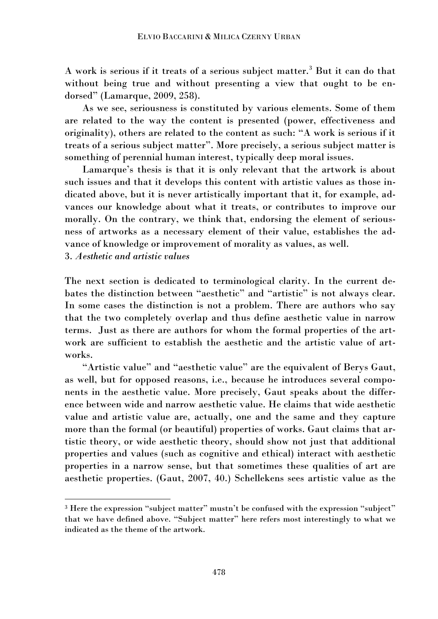A work is serious if it treats of a serious subject matter.<sup>3</sup> But it can do that without being true and without presenting a view that ought to be endorsed" (Lamarque, 2009, 258).

As we see, seriousness is constituted by various elements. Some of them are related to the way the content is presented (power, effectiveness and originality), others are related to the content as such: "A work is serious if it treats of a serious subject matter". More precisely, a serious subject matter is something of perennial human interest, typically deep moral issues.

Lamarque's thesis is that it is only relevant that the artwork is about such issues and that it develops this content with artistic values as those indicated above, but it is never artistically important that it, for example, advances our knowledge about what it treats, or contributes to improve our morally. On the contrary, we think that, endorsing the element of seriousness of artworks as a necessary element of their value, establishes the advance of knowledge or improvement of morality as values, as well. 3. *Aesthetic and artistic values*

The next section is dedicated to terminological clarity. In the current debates the distinction between "aesthetic" and "artistic" is not always clear. In some cases the distinction is not a problem. There are authors who say that the two completely overlap and thus define aesthetic value in narrow terms. Just as there are authors for whom the formal properties of the artwork are sufficient to establish the aesthetic and the artistic value of artworks.

"Artistic value" and "aesthetic value" are the equivalent of Berys Gaut, as well, but for opposed reasons, i.e., because he introduces several components in the aesthetic value. More precisely, Gaut speaks about the difference between wide and narrow aesthetic value. He claims that wide aesthetic value and artistic value are, actually, one and the same and they capture more than the formal (or beautiful) properties of works. Gaut claims that artistic theory, or wide aesthetic theory, should show not just that additional properties and values (such as cognitive and ethical) interact with aesthetic properties in a narrow sense, but that sometimes these qualities of art are aesthetic properties. (Gaut, 2007, 40.) Schellekens sees artistic value as the

<sup>3</sup> Here the expression "subject matter" mustn't be confused with the expression "subject" that we have defined above. "Subject matter" here refers most interestingly to what we indicated as the theme of the artwork.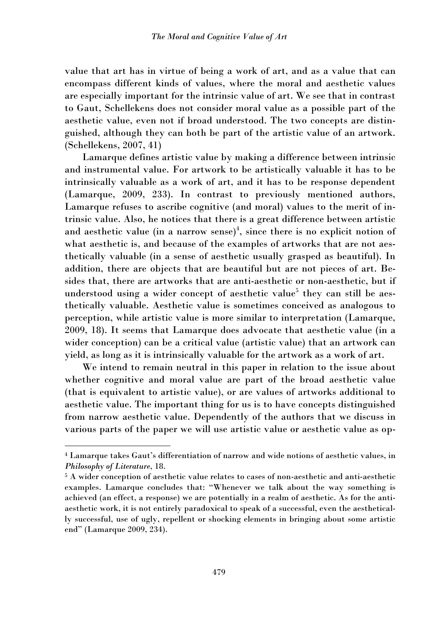value that art has in virtue of being a work of art, and as a value that can encompass different kinds of values, where the moral and aesthetic values are especially important for the intrinsic value of art. We see that in contrast to Gaut, Schellekens does not consider moral value as a possible part of the aesthetic value, even not if broad understood. The two concepts are distinguished, although they can both be part of the artistic value of an artwork. (Schellekens, 2007, 41)

Lamarque defines artistic value by making a difference between intrinsic and instrumental value. For artwork to be artistically valuable it has to be intrinsically valuable as a work of art, and it has to be response dependent (Lamarque, 2009, 233). In contrast to previously mentioned authors, Lamarque refuses to ascribe cognitive (and moral) values to the merit of intrinsic value. Also, he notices that there is a great difference between artistic and aesthetic value (in a narrow sense)<sup>4</sup>, since there is no explicit notion of what aesthetic is, and because of the examples of artworks that are not aesthetically valuable (in a sense of aesthetic usually grasped as beautiful). In addition, there are objects that are beautiful but are not pieces of art. Besides that, there are artworks that are anti-aesthetic or non-aesthetic, but if understood using a wider concept of aesthetic value<sup>5</sup> they can still be aesthetically valuable. Aesthetic value is sometimes conceived as analogous to perception, while artistic value is more similar to interpretation (Lamarque, 2009, 18). It seems that Lamarque does advocate that aesthetic value (in a wider conception) can be a critical value (artistic value) that an artwork can yield, as long as it is intrinsically valuable for the artwork as a work of art.

We intend to remain neutral in this paper in relation to the issue about whether cognitive and moral value are part of the broad aesthetic value (that is equivalent to artistic value), or are values of artworks additional to aesthetic value. The important thing for us is to have concepts distinguished from narrow aesthetic value. Dependently of the authors that we discuss in various parts of the paper we will use artistic value or aesthetic value as op-

<sup>4</sup> Lamarque takes Gaut's differentiation of narrow and wide notions of aesthetic values, in *Philosophy of Literature*, 18.

<sup>5</sup> A wider conception of aesthetic value relates to cases of non-aesthetic and anti-aesthetic examples. Lamarque concludes that: "Whenever we talk about the way something is achieved (an effect, a response) we are potentially in a realm of aesthetic. As for the antiaesthetic work, it is not entirely paradoxical to speak of a successful, even the aesthetically successful, use of ugly, repellent or shocking elements in bringing about some artistic end" (Lamarque 2009, 234).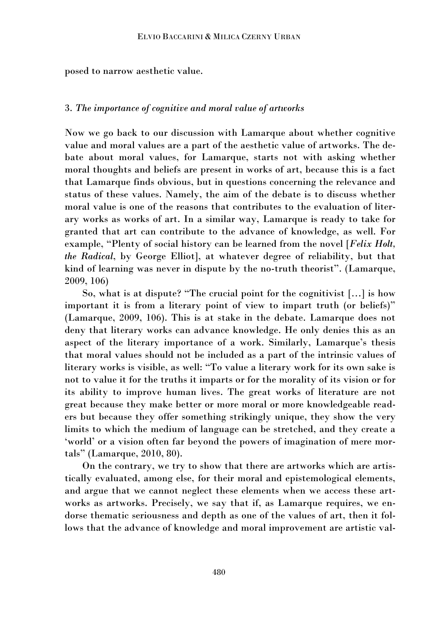posed to narrow aesthetic value.

# 3. *The importance of cognitive and moral value of artworks*

Now we go back to our discussion with Lamarque about whether cognitive value and moral values are a part of the aesthetic value of artworks. The debate about moral values, for Lamarque, starts not with asking whether moral thoughts and beliefs are present in works of art, because this is a fact that Lamarque finds obvious, but in questions concerning the relevance and status of these values. Namely, the aim of the debate is to discuss whether moral value is one of the reasons that contributes to the evaluation of literary works as works of art. In a similar way, Lamarque is ready to take for granted that art can contribute to the advance of knowledge, as well. For example, "Plenty of social history can be learned from the novel [*Felix Holt, the Radical*, by George Elliot], at whatever degree of reliability, but that kind of learning was never in dispute by the no-truth theorist". (Lamarque, 2009, 106)

So, what is at dispute? "The crucial point for the cognitivist […] is how important it is from a literary point of view to impart truth (or beliefs)" (Lamarque, 2009, 106). This is at stake in the debate. Lamarque does not deny that literary works can advance knowledge. He only denies this as an aspect of the literary importance of a work. Similarly, Lamarque's thesis that moral values should not be included as a part of the intrinsic values of literary works is visible, as well: "To value a literary work for its own sake is not to value it for the truths it imparts or for the morality of its vision or for its ability to improve human lives. The great works of literature are not great because they make better or more moral or more knowledgeable readers but because they offer something strikingly unique, they show the very limits to which the medium of language can be stretched, and they create a 'world' or a vision often far beyond the powers of imagination of mere mortals" (Lamarque, 2010, 80).

On the contrary, we try to show that there are artworks which are artistically evaluated, among else, for their moral and epistemological elements, and argue that we cannot neglect these elements when we access these artworks as artworks. Precisely, we say that if, as Lamarque requires, we endorse thematic seriousness and depth as one of the values of art, then it follows that the advance of knowledge and moral improvement are artistic val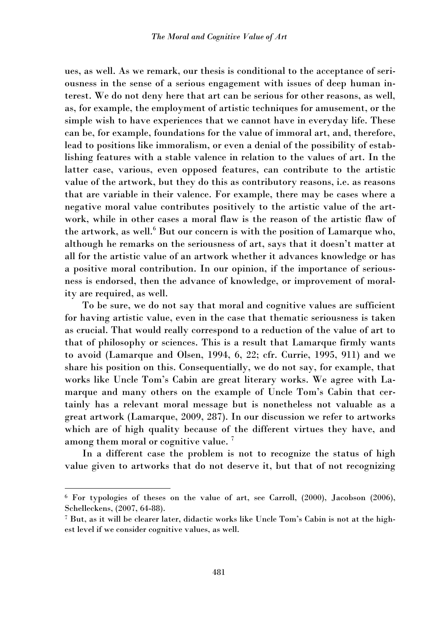ues, as well. As we remark, our thesis is conditional to the acceptance of seriousness in the sense of a serious engagement with issues of deep human interest. We do not deny here that art can be serious for other reasons, as well, as, for example, the employment of artistic techniques for amusement, or the simple wish to have experiences that we cannot have in everyday life. These can be, for example, foundations for the value of immoral art, and, therefore, lead to positions like immoralism, or even a denial of the possibility of establishing features with a stable valence in relation to the values of art. In the latter case, various, even opposed features, can contribute to the artistic value of the artwork, but they do this as contributory reasons, i.e. as reasons that are variable in their valence. For example, there may be cases where a negative moral value contributes positively to the artistic value of the artwork, while in other cases a moral flaw is the reason of the artistic flaw of the artwork, as well.<sup>6</sup> But our concern is with the position of Lamarque who, although he remarks on the seriousness of art, says that it doesn't matter at all for the artistic value of an artwork whether it advances knowledge or has a positive moral contribution. In our opinion, if the importance of seriousness is endorsed, then the advance of knowledge, or improvement of morality are required, as well.

To be sure, we do not say that moral and cognitive values are sufficient for having artistic value, even in the case that thematic seriousness is taken as crucial. That would really correspond to a reduction of the value of art to that of philosophy or sciences. This is a result that Lamarque firmly wants to avoid (Lamarque and Olsen, 1994, 6, 22; cfr. Currie, 1995, 911) and we share his position on this. Consequentially, we do not say, for example, that works like Uncle Tom's Cabin are great literary works. We agree with Lamarque and many others on the example of Uncle Tom's Cabin that certainly has a relevant moral message but is nonetheless not valuable as a great artwork (Lamarque, 2009, 287). In our discussion we refer to artworks which are of high quality because of the different virtues they have, and among them moral or cognitive value.<sup>7</sup>

In a different case the problem is not to recognize the status of high value given to artworks that do not deserve it, but that of not recognizing

<sup>6</sup> For typologies of theses on the value of art, see Carroll, (2000), Jacobson (2006), Schelleckens, (2007, 64-88).

<sup>7</sup> But, as it will be clearer later, didactic works like Uncle Tom's Cabin is not at the highest level if we consider cognitive values, as well.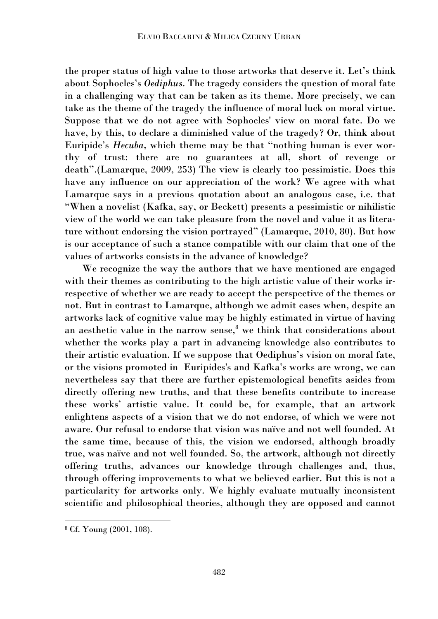the proper status of high value to those artworks that deserve it. Let's think about Sophocles's *Oediphus*. The tragedy considers the question of moral fate in a challenging way that can be taken as its theme. More precisely, we can take as the theme of the tragedy the influence of moral luck on moral virtue. Suppose that we do not agree with Sophocles' view on moral fate. Do we have, by this, to declare a diminished value of the tragedy? Or, think about Euripide's *Hecuba*, which theme may be that "nothing human is ever worthy of trust: there are no guarantees at all, short of revenge or death".(Lamarque, 2009, 253) The view is clearly too pessimistic. Does this have any influence on our appreciation of the work? We agree with what Lamarque says in a previous quotation about an analogous case, i.e. that "When a novelist (Kafka, say, or Beckett) presents a pessimistic or nihilistic view of the world we can take pleasure from the novel and value it as literature without endorsing the vision portrayed" (Lamarque, 2010, 80). But how is our acceptance of such a stance compatible with our claim that one of the values of artworks consists in the advance of knowledge?

We recognize the way the authors that we have mentioned are engaged with their themes as contributing to the high artistic value of their works irrespective of whether we are ready to accept the perspective of the themes or not. But in contrast to Lamarque, although we admit cases when, despite an artworks lack of cognitive value may be highly estimated in virtue of having an aesthetic value in the narrow sense, $\delta$  we think that considerations about whether the works play a part in advancing knowledge also contributes to their artistic evaluation. If we suppose that Oediphus's vision on moral fate, or the visions promoted in Euripides's and Kafka's works are wrong, we can nevertheless say that there are further epistemological benefits asides from directly offering new truths, and that these benefits contribute to increase these works' artistic value. It could be, for example, that an artwork enlightens aspects of a vision that we do not endorse, of which we were not aware. Our refusal to endorse that vision was naïve and not well founded. At the same time, because of this, the vision we endorsed, although broadly true, was naïve and not well founded. So, the artwork, although not directly offering truths, advances our knowledge through challenges and, thus, through offering improvements to what we believed earlier. But this is not a particularity for artworks only. We highly evaluate mutually inconsistent scientific and philosophical theories, although they are opposed and cannot

<sup>8</sup> Cf. Young (2001, 108).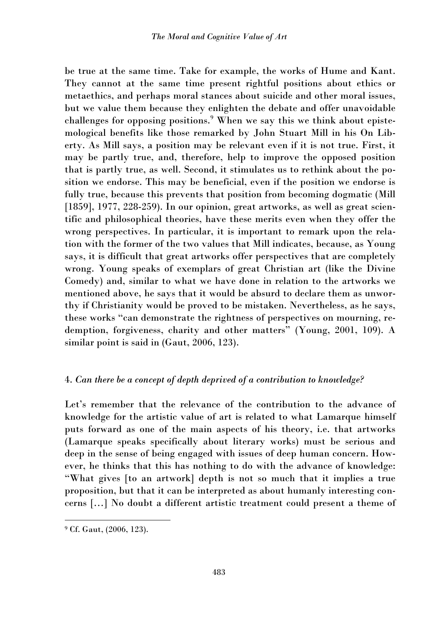be true at the same time. Take for example, the works of Hume and Kant. They cannot at the same time present rightful positions about ethics or metaethics, and perhaps moral stances about suicide and other moral issues, but we value them because they enlighten the debate and offer unavoidable challenges for opposing positions.<sup>9</sup> When we say this we think about epistemological benefits like those remarked by John Stuart Mill in his On Liberty. As Mill says, a position may be relevant even if it is not true. First, it may be partly true, and, therefore, help to improve the opposed position that is partly true, as well. Second, it stimulates us to rethink about the position we endorse. This may be beneficial, even if the position we endorse is fully true, because this prevents that position from becoming dogmatic (Mill [1859], 1977, 228-259). In our opinion, great artworks, as well as great scientific and philosophical theories, have these merits even when they offer the wrong perspectives. In particular, it is important to remark upon the relation with the former of the two values that Mill indicates, because, as Young says, it is difficult that great artworks offer perspectives that are completely wrong. Young speaks of exemplars of great Christian art (like the Divine Comedy) and, similar to what we have done in relation to the artworks we mentioned above, he says that it would be absurd to declare them as unworthy if Christianity would be proved to be mistaken. Nevertheless, as he says, these works "can demonstrate the rightness of perspectives on mourning, redemption, forgiveness, charity and other matters" (Young, 2001, 109). A similar point is said in (Gaut, 2006, 123).

# 4. *Can there be a concept of depth deprived of a contribution to knowledge?*

Let's remember that the relevance of the contribution to the advance of knowledge for the artistic value of art is related to what Lamarque himself puts forward as one of the main aspects of his theory, i.e. that artworks (Lamarque speaks specifically about literary works) must be serious and deep in the sense of being engaged with issues of deep human concern. However, he thinks that this has nothing to do with the advance of knowledge: "What gives [to an artwork] depth is not so much that it implies a true proposition, but that it can be interpreted as about humanly interesting concerns […] No doubt a different artistic treatment could present a theme of

<sup>&</sup>lt;sup>9</sup> Cf. Gaut, (2006, 123).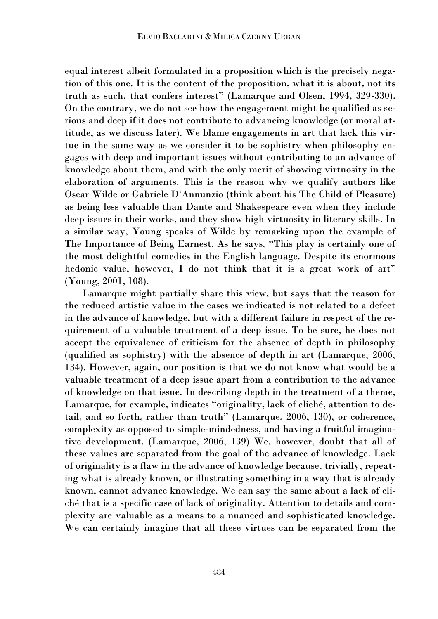equal interest albeit formulated in a proposition which is the precisely negation of this one. It is the content of the proposition, what it is about, not its truth as such, that confers interest" (Lamarque and Olsen, 1994, 329-330). On the contrary, we do not see how the engagement might be qualified as serious and deep if it does not contribute to advancing knowledge (or moral attitude, as we discuss later). We blame engagements in art that lack this virtue in the same way as we consider it to be sophistry when philosophy engages with deep and important issues without contributing to an advance of knowledge about them, and with the only merit of showing virtuosity in the elaboration of arguments. This is the reason why we qualify authors like Oscar Wilde or Gabriele D'Annunzio (think about his The Child of Pleasure) as being less valuable than Dante and Shakespeare even when they include deep issues in their works, and they show high virtuosity in literary skills. In a similar way, Young speaks of Wilde by remarking upon the example of The Importance of Being Earnest. As he says, "This play is certainly one of the most delightful comedies in the English language. Despite its enormous hedonic value, however, I do not think that it is a great work of art" (Young, 2001, 108).

Lamarque might partially share this view, but says that the reason for the reduced artistic value in the cases we indicated is not related to a defect in the advance of knowledge, but with a different failure in respect of the requirement of a valuable treatment of a deep issue. To be sure, he does not accept the equivalence of criticism for the absence of depth in philosophy (qualified as sophistry) with the absence of depth in art (Lamarque, 2006, 134). However, again, our position is that we do not know what would be a valuable treatment of a deep issue apart from a contribution to the advance of knowledge on that issue. In describing depth in the treatment of a theme, Lamarque, for example, indicates "originality, lack of cliché, attention to detail, and so forth, rather than truth" (Lamarque, 2006, 130), or coherence, complexity as opposed to simple-mindedness, and having a fruitful imaginative development. (Lamarque, 2006, 139) We, however, doubt that all of these values are separated from the goal of the advance of knowledge. Lack of originality is a flaw in the advance of knowledge because, trivially, repeating what is already known, or illustrating something in a way that is already known, cannot advance knowledge. We can say the same about a lack of cliché that is a specific case of lack of originality. Attention to details and complexity are valuable as a means to a nuanced and sophisticated knowledge. We can certainly imagine that all these virtues can be separated from the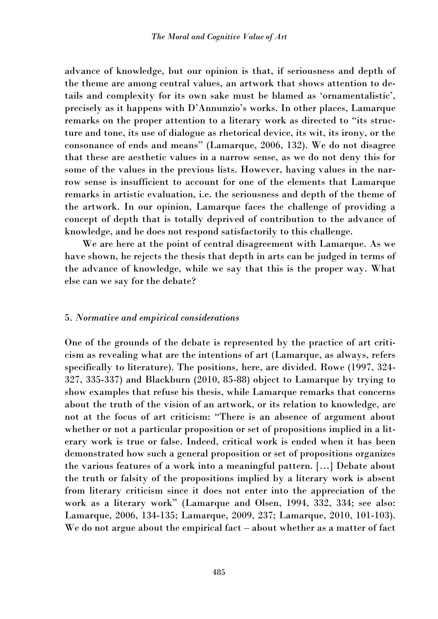advance of knowledge, but our opinion is that, if seriousness and depth of the theme are among central values, an artwork that shows attention to details and complexity for its own sake must be blamed as 'ornamentalistic', precisely as it happens with D'Annunzio's works. In other places, Lamarque remarks on the proper attention to a literary work as directed to "its structure and tone, its use of dialogue as rhetorical device, its wit, its irony, or the consonance of ends and means" (Lamarque, 2006, 132). We do not disagree that these are aesthetic values in a narrow sense, as we do not deny this for some of the values in the previous lists. However, having values in the narrow sense is insufficient to account for one of the elements that Lamarque remarks in artistic evaluation, i.e. the seriousness and depth of the theme of the artwork. In our opinion, Lamarque faces the challenge of providing a concept of depth that is totally deprived of contribution to the advance of knowledge, and he does not respond satisfactorily to this challenge.

We are here at the point of central disagreement with Lamarque. As we have shown, he rejects the thesis that depth in arts can be judged in terms of the advance of knowledge, while we say that this is the proper way. What else can we say for the debate?

#### 5. *Normative and empirical considerations*

One of the grounds of the debate is represented by the practice of art criticism as revealing what are the intentions of art (Lamarque, as always, refers specifically to literature). The positions, here, are divided. Rowe (1997, 324- 327, 335-337) and Blackburn (2010, 85-88) object to Lamarque by trying to show examples that refuse his thesis, while Lamarque remarks that concerns about the truth of the vision of an artwork, or its relation to knowledge, are not at the focus of art criticism: "There is an absence of argument about whether or not a particular proposition or set of propositions implied in a literary work is true or false. Indeed, critical work is ended when it has been demonstrated how such a general proposition or set of propositions organizes the various features of a work into a meaningful pattern. […] Debate about the truth or falsity of the propositions implied by a literary work is absent from literary criticism since it does not enter into the appreciation of the work as a literary work" (Lamarque and Olsen, 1994, 332, 334; see also: Lamarque, 2006, 134-135; Lamarque, 2009, 237; Lamarque, 2010, 101-103). We do not argue about the empirical fact – about whether as a matter of fact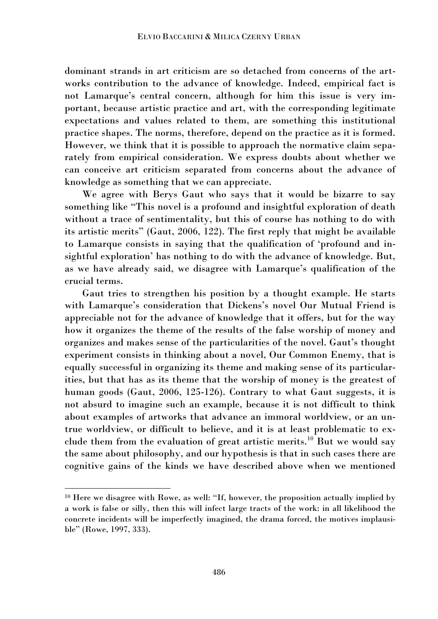dominant strands in art criticism are so detached from concerns of the artworks contribution to the advance of knowledge. Indeed, empirical fact is not Lamarque's central concern, although for him this issue is very important, because artistic practice and art, with the corresponding legitimate expectations and values related to them, are something this institutional practice shapes. The norms, therefore, depend on the practice as it is formed. However, we think that it is possible to approach the normative claim separately from empirical consideration. We express doubts about whether we can conceive art criticism separated from concerns about the advance of knowledge as something that we can appreciate.

We agree with Berys Gaut who says that it would be bizarre to say something like "This novel is a profound and insightful exploration of death without a trace of sentimentality, but this of course has nothing to do with its artistic merits" (Gaut, 2006, 122). The first reply that might be available to Lamarque consists in saying that the qualification of 'profound and insightful exploration' has nothing to do with the advance of knowledge. But, as we have already said, we disagree with Lamarque's qualification of the crucial terms.

Gaut tries to strengthen his position by a thought example. He starts with Lamarque's consideration that Dickens's novel Our Mutual Friend is appreciable not for the advance of knowledge that it offers, but for the way how it organizes the theme of the results of the false worship of money and organizes and makes sense of the particularities of the novel. Gaut's thought experiment consists in thinking about a novel, Our Common Enemy, that is equally successful in organizing its theme and making sense of its particularities, but that has as its theme that the worship of money is the greatest of human goods (Gaut, 2006, 125-126). Contrary to what Gaut suggests, it is not absurd to imagine such an example, because it is not difficult to think about examples of artworks that advance an immoral worldview, or an untrue worldview, or difficult to believe, and it is at least problematic to exclude them from the evaluation of great artistic merits.<sup>10</sup> But we would say the same about philosophy, and our hypothesis is that in such cases there are cognitive gains of the kinds we have described above when we mentioned

<sup>&</sup>lt;sup>10</sup> Here we disagree with Rowe, as well: "If, however, the proposition actually implied by a work is false or silly, then this will infect large tracts of the work: in all likelihood the concrete incidents will be imperfectly imagined, the drama forced, the motives implausible" (Rowe, 1997, 333).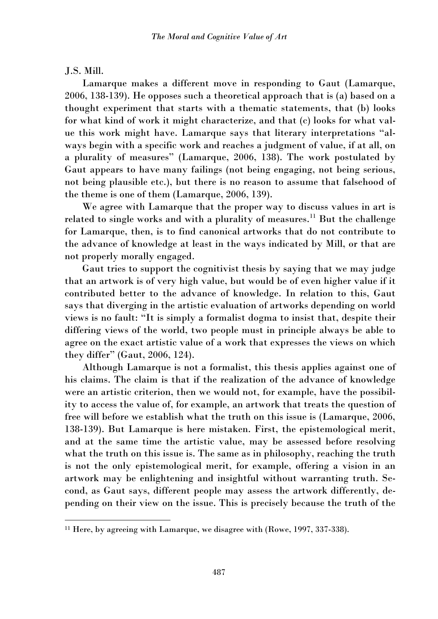J.S. Mill.

 $\overline{a}$ 

Lamarque makes a different move in responding to Gaut (Lamarque, 2006, 138-139). He opposes such a theoretical approach that is (a) based on a thought experiment that starts with a thematic statements, that (b) looks for what kind of work it might characterize, and that (c) looks for what value this work might have. Lamarque says that literary interpretations "always begin with a specific work and reaches a judgment of value, if at all, on a plurality of measures" (Lamarque, 2006, 138). The work postulated by Gaut appears to have many failings (not being engaging, not being serious, not being plausible etc.), but there is no reason to assume that falsehood of the theme is one of them (Lamarque, 2006, 139).

We agree with Lamarque that the proper way to discuss values in art is related to single works and with a plurality of measures.<sup>11</sup> But the challenge for Lamarque, then, is to find canonical artworks that do not contribute to the advance of knowledge at least in the ways indicated by Mill, or that are not properly morally engaged.

Gaut tries to support the cognitivist thesis by saying that we may judge that an artwork is of very high value, but would be of even higher value if it contributed better to the advance of knowledge. In relation to this, Gaut says that diverging in the artistic evaluation of artworks depending on world views is no fault: "It is simply a formalist dogma to insist that, despite their differing views of the world, two people must in principle always be able to agree on the exact artistic value of a work that expresses the views on which they differ" (Gaut, 2006, 124).

Although Lamarque is not a formalist, this thesis applies against one of his claims. The claim is that if the realization of the advance of knowledge were an artistic criterion, then we would not, for example, have the possibility to access the value of, for example, an artwork that treats the question of free will before we establish what the truth on this issue is (Lamarque, 2006, 138-139). But Lamarque is here mistaken. First, the epistemological merit, and at the same time the artistic value, may be assessed before resolving what the truth on this issue is. The same as in philosophy, reaching the truth is not the only epistemological merit, for example, offering a vision in an artwork may be enlightening and insightful without warranting truth. Second, as Gaut says, different people may assess the artwork differently, depending on their view on the issue. This is precisely because the truth of the

<sup>11</sup> Here, by agreeing with Lamarque, we disagree with (Rowe, 1997, 337-338).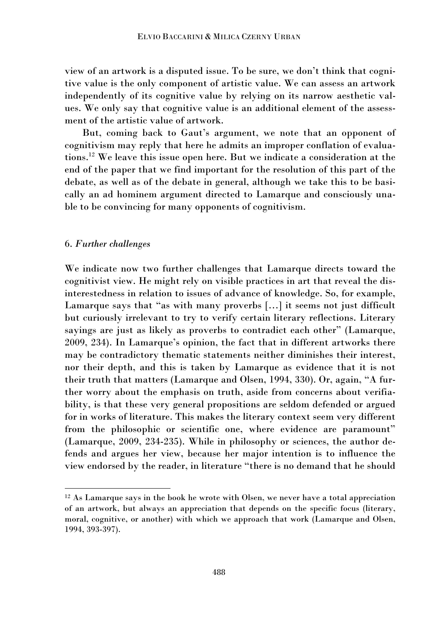view of an artwork is a disputed issue. To be sure, we don't think that cognitive value is the only component of artistic value. We can assess an artwork independently of its cognitive value by relying on its narrow aesthetic values. We only say that cognitive value is an additional element of the assessment of the artistic value of artwork.

But, coming back to Gaut's argument, we note that an opponent of cognitivism may reply that here he admits an improper conflation of evaluations.<sup>12</sup> We leave this issue open here. But we indicate a consideration at the end of the paper that we find important for the resolution of this part of the debate, as well as of the debate in general, although we take this to be basically an ad hominem argument directed to Lamarque and consciously unable to be convincing for many opponents of cognitivism.

#### 6. *Further challenges*

 $\overline{a}$ 

We indicate now two further challenges that Lamarque directs toward the cognitivist view. He might rely on visible practices in art that reveal the disinterestedness in relation to issues of advance of knowledge. So, for example, Lamarque says that "as with many proverbs […] it seems not just difficult but curiously irrelevant to try to verify certain literary reflections. Literary sayings are just as likely as proverbs to contradict each other" (Lamarque, 2009, 234). In Lamarque's opinion, the fact that in different artworks there may be contradictory thematic statements neither diminishes their interest, nor their depth, and this is taken by Lamarque as evidence that it is not their truth that matters (Lamarque and Olsen, 1994, 330). Or, again, "A further worry about the emphasis on truth, aside from concerns about verifiability, is that these very general propositions are seldom defended or argued for in works of literature. This makes the literary context seem very different from the philosophic or scientific one, where evidence are paramount" (Lamarque, 2009, 234-235). While in philosophy or sciences, the author defends and argues her view, because her major intention is to influence the view endorsed by the reader, in literature "there is no demand that he should

<sup>&</sup>lt;sup>12</sup> As Lamarque says in the book he wrote with Olsen, we never have a total appreciation of an artwork, but always an appreciation that depends on the specific focus (literary, moral, cognitive, or another) with which we approach that work (Lamarque and Olsen, 1994, 393-397).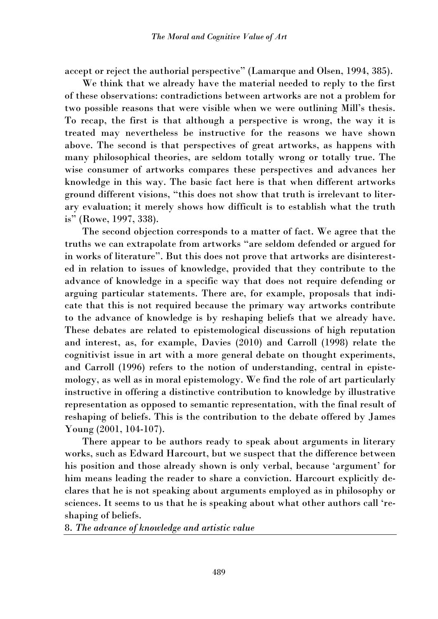accept or reject the authorial perspective" (Lamarque and Olsen, 1994, 385).

We think that we already have the material needed to reply to the first of these observations: contradictions between artworks are not a problem for two possible reasons that were visible when we were outlining Mill's thesis. To recap, the first is that although a perspective is wrong, the way it is treated may nevertheless be instructive for the reasons we have shown above. The second is that perspectives of great artworks, as happens with many philosophical theories, are seldom totally wrong or totally true. The wise consumer of artworks compares these perspectives and advances her knowledge in this way. The basic fact here is that when different artworks ground different visions, "this does not show that truth is irrelevant to literary evaluation; it merely shows how difficult is to establish what the truth is" (Rowe, 1997, 338).

The second objection corresponds to a matter of fact. We agree that the truths we can extrapolate from artworks "are seldom defended or argued for in works of literature". But this does not prove that artworks are disinterested in relation to issues of knowledge, provided that they contribute to the advance of knowledge in a specific way that does not require defending or arguing particular statements. There are, for example, proposals that indicate that this is not required because the primary way artworks contribute to the advance of knowledge is by reshaping beliefs that we already have. These debates are related to epistemological discussions of high reputation and interest, as, for example, Davies (2010) and Carroll (1998) relate the cognitivist issue in art with a more general debate on thought experiments, and Carroll (1996) refers to the notion of understanding, central in epistemology, as well as in moral epistemology. We find the role of art particularly instructive in offering a distinctive contribution to knowledge by illustrative representation as opposed to semantic representation, with the final result of reshaping of beliefs. This is the contribution to the debate offered by James Young (2001, 104-107).

There appear to be authors ready to speak about arguments in literary works, such as Edward Harcourt, but we suspect that the difference between his position and those already shown is only verbal, because 'argument' for him means leading the reader to share a conviction. Harcourt explicitly declares that he is not speaking about arguments employed as in philosophy or sciences. It seems to us that he is speaking about what other authors call 'reshaping of beliefs.

8. *The advance of knowledge and artistic value*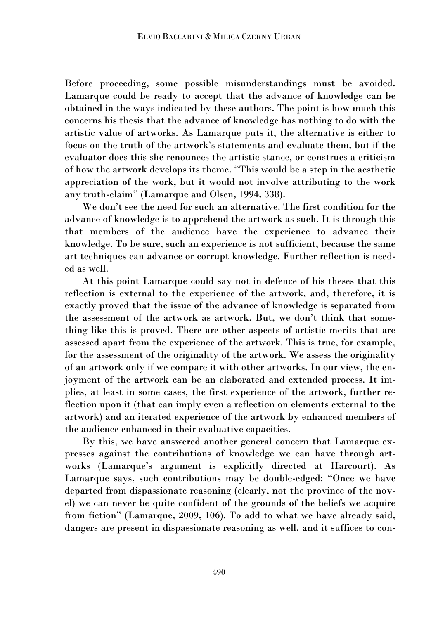Before proceeding, some possible misunderstandings must be avoided. Lamarque could be ready to accept that the advance of knowledge can be obtained in the ways indicated by these authors. The point is how much this concerns his thesis that the advance of knowledge has nothing to do with the artistic value of artworks. As Lamarque puts it, the alternative is either to focus on the truth of the artwork's statements and evaluate them, but if the evaluator does this she renounces the artistic stance, or construes a criticism of how the artwork develops its theme. "This would be a step in the aesthetic appreciation of the work, but it would not involve attributing to the work any truth-claim" (Lamarque and Olsen, 1994, 338).

We don't see the need for such an alternative. The first condition for the advance of knowledge is to apprehend the artwork as such. It is through this that members of the audience have the experience to advance their knowledge. To be sure, such an experience is not sufficient, because the same art techniques can advance or corrupt knowledge. Further reflection is needed as well.

At this point Lamarque could say not in defence of his theses that this reflection is external to the experience of the artwork, and, therefore, it is exactly proved that the issue of the advance of knowledge is separated from the assessment of the artwork as artwork. But, we don't think that something like this is proved. There are other aspects of artistic merits that are assessed apart from the experience of the artwork. This is true, for example, for the assessment of the originality of the artwork. We assess the originality of an artwork only if we compare it with other artworks. In our view, the enjoyment of the artwork can be an elaborated and extended process. It implies, at least in some cases, the first experience of the artwork, further reflection upon it (that can imply even a reflection on elements external to the artwork) and an iterated experience of the artwork by enhanced members of the audience enhanced in their evaluative capacities.

By this, we have answered another general concern that Lamarque expresses against the contributions of knowledge we can have through artworks (Lamarque's argument is explicitly directed at Harcourt). As Lamarque says, such contributions may be double-edged: "Once we have departed from dispassionate reasoning (clearly, not the province of the novel) we can never be quite confident of the grounds of the beliefs we acquire from fiction" (Lamarque, 2009, 106). To add to what we have already said, dangers are present in dispassionate reasoning as well, and it suffices to con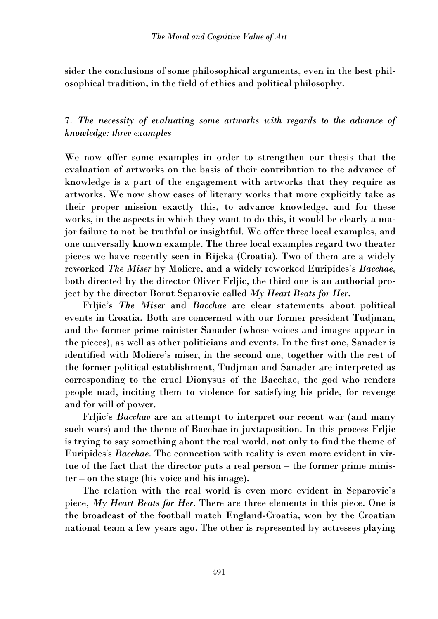sider the conclusions of some philosophical arguments, even in the best philosophical tradition, in the field of ethics and political philosophy.

7. *The necessity of evaluating some artworks with regards to the advance of knowledge: three examples*

We now offer some examples in order to strengthen our thesis that the evaluation of artworks on the basis of their contribution to the advance of knowledge is a part of the engagement with artworks that they require as artworks. We now show cases of literary works that more explicitly take as their proper mission exactly this, to advance knowledge, and for these works, in the aspects in which they want to do this, it would be clearly a major failure to not be truthful or insightful. We offer three local examples, and one universally known example. The three local examples regard two theater pieces we have recently seen in Rijeka (Croatia). Two of them are a widely reworked *The Miser* by Moliere, and a widely reworked Euripides's *Bacchae*, both directed by the director Oliver Frljic, the third one is an authorial project by the director Borut Separovic called *My Heart Beats for Her*.

Frljic's *The Miser* and *Bacchae* are clear statements about political events in Croatia. Both are concerned with our former president Tudjman, and the former prime minister Sanader (whose voices and images appear in the pieces), as well as other politicians and events. In the first one, Sanader is identified with Moliere's miser, in the second one, together with the rest of the former political establishment, Tudjman and Sanader are interpreted as corresponding to the cruel Dionysus of the Bacchae, the god who renders people mad, inciting them to violence for satisfying his pride, for revenge and for will of power.

Frljic's *Bacchae* are an attempt to interpret our recent war (and many such wars) and the theme of Bacchae in juxtaposition. In this process Frljic is trying to say something about the real world, not only to find the theme of Euripides's *Bacchae*. The connection with reality is even more evident in virtue of the fact that the director puts a real person – the former prime minister – on the stage (his voice and his image).

The relation with the real world is even more evident in Separovic's piece, *My Heart Beats for Her*. There are three elements in this piece. One is the broadcast of the football match England-Croatia, won by the Croatian national team a few years ago. The other is represented by actresses playing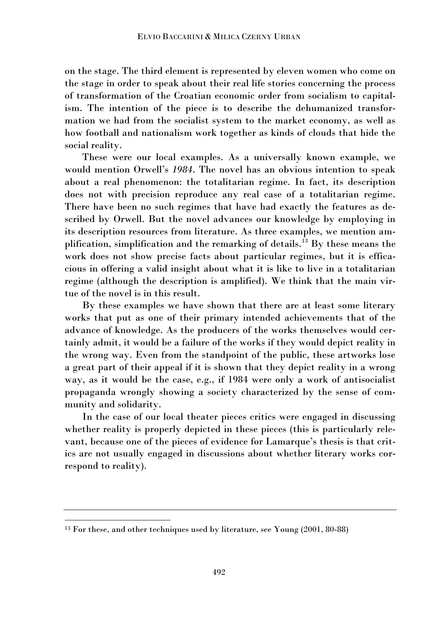on the stage. The third element is represented by eleven women who come on the stage in order to speak about their real life stories concerning the process of transformation of the Croatian economic order from socialism to capitalism. The intention of the piece is to describe the dehumanized transformation we had from the socialist system to the market economy, as well as how football and nationalism work together as kinds of clouds that hide the social reality.

These were our local examples. As a universally known example, we would mention Orwell's *1984*. The novel has an obvious intention to speak about a real phenomenon: the totalitarian regime. In fact, its description does not with precision reproduce any real case of a totalitarian regime. There have been no such regimes that have had exactly the features as described by Orwell. But the novel advances our knowledge by employing in its description resources from literature. As three examples, we mention amplification, simplification and the remarking of details.<sup>13</sup> By these means the work does not show precise facts about particular regimes, but it is efficacious in offering a valid insight about what it is like to live in a totalitarian regime (although the description is amplified). We think that the main virtue of the novel is in this result.

By these examples we have shown that there are at least some literary works that put as one of their primary intended achievements that of the advance of knowledge. As the producers of the works themselves would certainly admit, it would be a failure of the works if they would depict reality in the wrong way. Even from the standpoint of the public, these artworks lose a great part of their appeal if it is shown that they depict reality in a wrong way, as it would be the case, e.g., if 1984 were only a work of antisocialist propaganda wrongly showing a society characterized by the sense of community and solidarity.

In the case of our local theater pieces critics were engaged in discussing whether reality is properly depicted in these pieces (this is particularly relevant, because one of the pieces of evidence for Lamarque's thesis is that critics are not usually engaged in discussions about whether literary works correspond to reality).

<sup>13</sup> For these, and other techniques used by literature, see Young (2001, 80-88)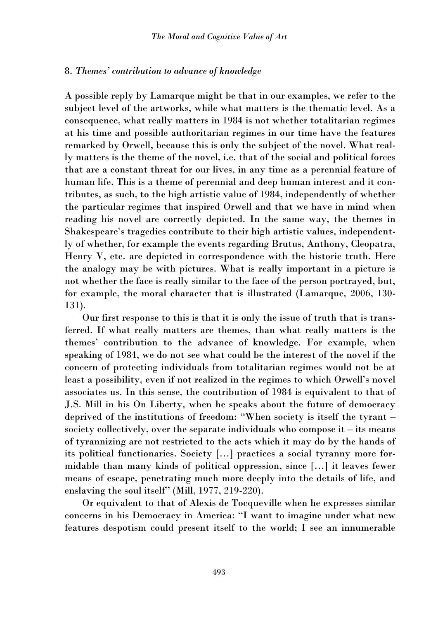## 8. *Themes' contribution to advance of knowledge*

A possible reply by Lamarque might be that in our examples, we refer to the subject level of the artworks, while what matters is the thematic level. As a consequence, what really matters in 1984 is not whether totalitarian regimes at his time and possible authoritarian regimes in our time have the features remarked by Orwell, because this is only the subject of the novel. What really matters is the theme of the novel, i.e. that of the social and political forces that are a constant threat for our lives, in any time as a perennial feature of human life. This is a theme of perennial and deep human interest and it contributes, as such, to the high artistic value of 1984, independently of whether the particular regimes that inspired Orwell and that we have in mind when reading his novel are correctly depicted. In the same way, the themes in Shakespeare's tragedies contribute to their high artistic values, independently of whether, for example the events regarding Brutus, Anthony, Cleopatra, Henry V, etc. are depicted in correspondence with the historic truth. Here the analogy may be with pictures. What is really important in a picture is not whether the face is really similar to the face of the person portrayed, but, for example, the moral character that is illustrated (Lamarque, 2006, 130- 131).

Our first response to this is that it is only the issue of truth that is transferred. If what really matters are themes, than what really matters is the themes' contribution to the advance of knowledge. For example, when speaking of 1984, we do not see what could be the interest of the novel if the concern of protecting individuals from totalitarian regimes would not be at least a possibility, even if not realized in the regimes to which Orwell's novel associates us. In this sense, the contribution of 1984 is equivalent to that of J.S. Mill in his On Liberty, when he speaks about the future of democracy deprived of the institutions of freedom: "When society is itself the tyrant – society collectively, over the separate individuals who compose it  $-$  its means of tyrannizing are not restricted to the acts which it may do by the hands of its political functionaries. Society […] practices a social tyranny more formidable than many kinds of political oppression, since […] it leaves fewer means of escape, penetrating much more deeply into the details of life, and enslaving the soul itself" (Mill, 1977, 219-220).

Or equivalent to that of Alexis de Tocqueville when he expresses similar concerns in his Democracy in America: "I want to imagine under what new features despotism could present itself to the world; I see an innumerable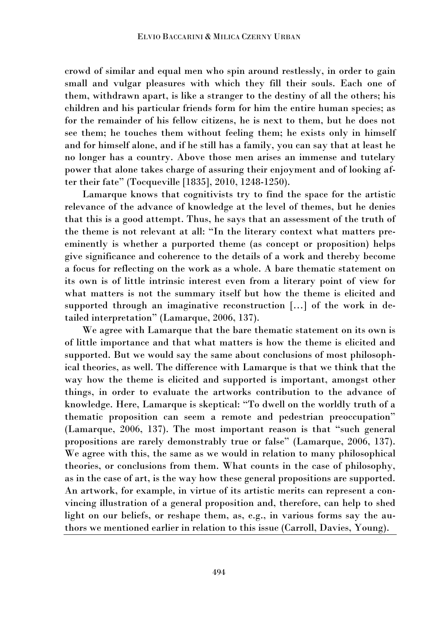crowd of similar and equal men who spin around restlessly, in order to gain small and vulgar pleasures with which they fill their souls. Each one of them, withdrawn apart, is like a stranger to the destiny of all the others; his children and his particular friends form for him the entire human species; as for the remainder of his fellow citizens, he is next to them, but he does not see them; he touches them without feeling them; he exists only in himself and for himself alone, and if he still has a family, you can say that at least he no longer has a country. Above those men arises an immense and tutelary power that alone takes charge of assuring their enjoyment and of looking after their fate" (Tocqueville [1835], 2010, 1248-1250).

Lamarque knows that cognitivists try to find the space for the artistic relevance of the advance of knowledge at the level of themes, but he denies that this is a good attempt. Thus, he says that an assessment of the truth of the theme is not relevant at all: "In the literary context what matters preeminently is whether a purported theme (as concept or proposition) helps give significance and coherence to the details of a work and thereby become a focus for reflecting on the work as a whole. A bare thematic statement on its own is of little intrinsic interest even from a literary point of view for what matters is not the summary itself but how the theme is elicited and supported through an imaginative reconstruction […] of the work in detailed interpretation" (Lamarque, 2006, 137).

We agree with Lamarque that the bare thematic statement on its own is of little importance and that what matters is how the theme is elicited and supported. But we would say the same about conclusions of most philosophical theories, as well. The difference with Lamarque is that we think that the way how the theme is elicited and supported is important, amongst other things, in order to evaluate the artworks contribution to the advance of knowledge. Here, Lamarque is skeptical: "To dwell on the worldly truth of a thematic proposition can seem a remote and pedestrian preoccupation" (Lamarque, 2006, 137). The most important reason is that "such general propositions are rarely demonstrably true or false" (Lamarque, 2006, 137). We agree with this, the same as we would in relation to many philosophical theories, or conclusions from them. What counts in the case of philosophy, as in the case of art, is the way how these general propositions are supported. An artwork, for example, in virtue of its artistic merits can represent a convincing illustration of a general proposition and, therefore, can help to shed light on our beliefs, or reshape them, as, e.g., in various forms say the authors we mentioned earlier in relation to this issue (Carroll, Davies, Young).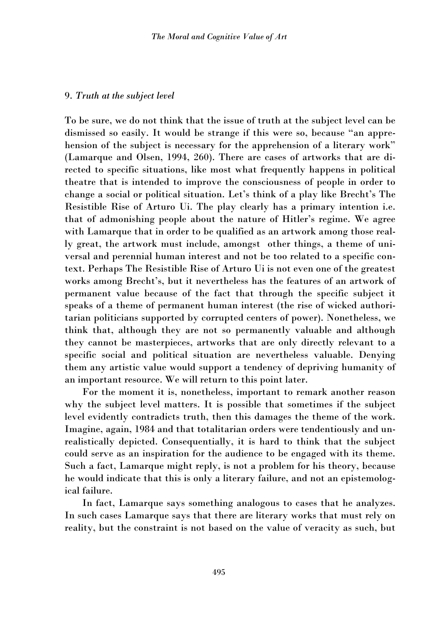#### 9. *Truth at the subject level*

To be sure, we do not think that the issue of truth at the subject level can be dismissed so easily. It would be strange if this were so, because "an apprehension of the subject is necessary for the apprehension of a literary work" (Lamarque and Olsen, 1994, 260). There are cases of artworks that are directed to specific situations, like most what frequently happens in political theatre that is intended to improve the consciousness of people in order to change a social or political situation. Let's think of a play like Brecht's The Resistible Rise of Arturo Ui. The play clearly has a primary intention i.e. that of admonishing people about the nature of Hitler's regime. We agree with Lamarque that in order to be qualified as an artwork among those really great, the artwork must include, amongst other things, a theme of universal and perennial human interest and not be too related to a specific context. Perhaps The Resistible Rise of Arturo Ui is not even one of the greatest works among Brecht's, but it nevertheless has the features of an artwork of permanent value because of the fact that through the specific subject it speaks of a theme of permanent human interest (the rise of wicked authoritarian politicians supported by corrupted centers of power). Nonetheless, we think that, although they are not so permanently valuable and although they cannot be masterpieces, artworks that are only directly relevant to a specific social and political situation are nevertheless valuable. Denying them any artistic value would support a tendency of depriving humanity of an important resource. We will return to this point later.

For the moment it is, nonetheless, important to remark another reason why the subject level matters. It is possible that sometimes if the subject level evidently contradicts truth, then this damages the theme of the work. Imagine, again, 1984 and that totalitarian orders were tendentiously and unrealistically depicted. Consequentially, it is hard to think that the subject could serve as an inspiration for the audience to be engaged with its theme. Such a fact, Lamarque might reply, is not a problem for his theory, because he would indicate that this is only a literary failure, and not an epistemological failure.

In fact, Lamarque says something analogous to cases that he analyzes. In such cases Lamarque says that there are literary works that must rely on reality, but the constraint is not based on the value of veracity as such, but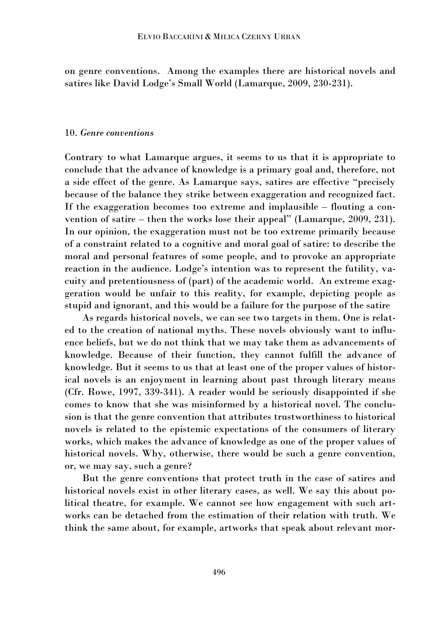on genre conventions. Among the examples there are historical novels and satires like David Lodge's Small World (Lamarque, 2009, 230-231).

# 10. *Genre conventions*

Contrary to what Lamarque argues, it seems to us that it is appropriate to conclude that the advance of knowledge is a primary goal and, therefore, not a side effect of the genre. As Lamarque says, satires are effective "precisely because of the balance they strike between exaggeration and recognized fact. If the exaggeration becomes too extreme and implausible – flouting a convention of satire – then the works lose their appeal" (Lamarque, 2009, 231). In our opinion, the exaggeration must not be too extreme primarily because of a constraint related to a cognitive and moral goal of satire: to describe the moral and personal features of some people, and to provoke an appropriate reaction in the audience. Lodge's intention was to represent the futility, vacuity and pretentiousness of (part) of the academic world. An extreme exaggeration would be unfair to this reality, for example, depicting people as stupid and ignorant, and this would be a failure for the purpose of the satire

As regards historical novels, we can see two targets in them. One is related to the creation of national myths. These novels obviously want to influence beliefs, but we do not think that we may take them as advancements of knowledge. Because of their function, they cannot fulfill the advance of knowledge. But it seems to us that at least one of the proper values of historical novels is an enjoyment in learning about past through literary means (Cfr. Rowe, 1997, 339-341). A reader would be seriously disappointed if she comes to know that she was misinformed by a historical novel. The conclusion is that the genre convention that attributes trustworthiness to historical novels is related to the epistemic expectations of the consumers of literary works, which makes the advance of knowledge as one of the proper values of historical novels. Why, otherwise, there would be such a genre convention, or, we may say, such a genre?

But the genre conventions that protect truth in the case of satires and historical novels exist in other literary cases, as well. We say this about political theatre, for example. We cannot see how engagement with such artworks can be detached from the estimation of their relation with truth. We think the same about, for example, artworks that speak about relevant mor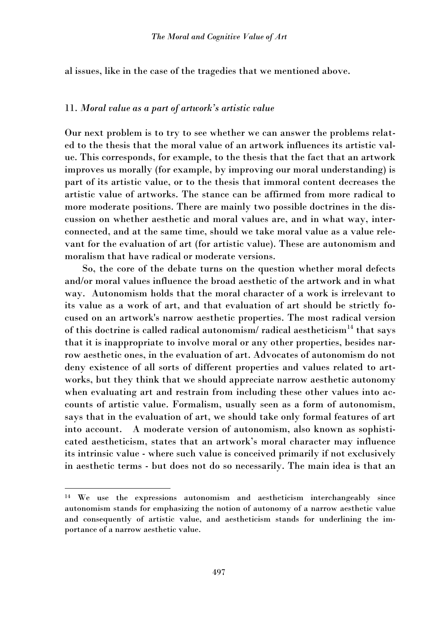al issues, like in the case of the tragedies that we mentioned above.

## 11. *Moral value as a part of artwork's artistic value*

Our next problem is to try to see whether we can answer the problems related to the thesis that the moral value of an artwork influences its artistic value. This corresponds, for example, to the thesis that the fact that an artwork improves us morally (for example, by improving our moral understanding) is part of its artistic value, or to the thesis that immoral content decreases the artistic value of artworks. The stance can be affirmed from more radical to more moderate positions. There are mainly two possible doctrines in the discussion on whether aesthetic and moral values are, and in what way, interconnected, and at the same time, should we take moral value as a value relevant for the evaluation of art (for artistic value). These are autonomism and moralism that have radical or moderate versions.

So, the core of the debate turns on the question whether moral defects and/or moral values influence the broad aesthetic of the artwork and in what way. Autonomism holds that the moral character of a work is irrelevant to its value as a work of art, and that evaluation of art should be strictly focused on an artwork's narrow aesthetic properties. The most radical version of this doctrine is called radical autonomism/ radical aestheticism<sup>14</sup> that says that it is inappropriate to involve moral or any other properties, besides narrow aesthetic ones, in the evaluation of art. Advocates of autonomism do not deny existence of all sorts of different properties and values related to artworks, but they think that we should appreciate narrow aesthetic autonomy when evaluating art and restrain from including these other values into accounts of artistic value. Formalism, usually seen as a form of autonomism, says that in the evaluation of art, we should take only formal features of art into account. A moderate version of autonomism, also known as sophisticated aestheticism, states that an artwork's moral character may influence its intrinsic value - where such value is conceived primarily if not exclusively in aesthetic terms - but does not do so necessarily. The main idea is that an

<sup>14</sup> We use the expressions autonomism and aestheticism interchangeably since autonomism stands for emphasizing the notion of autonomy of a narrow aesthetic value and consequently of artistic value, and aestheticism stands for underlining the importance of a narrow aesthetic value.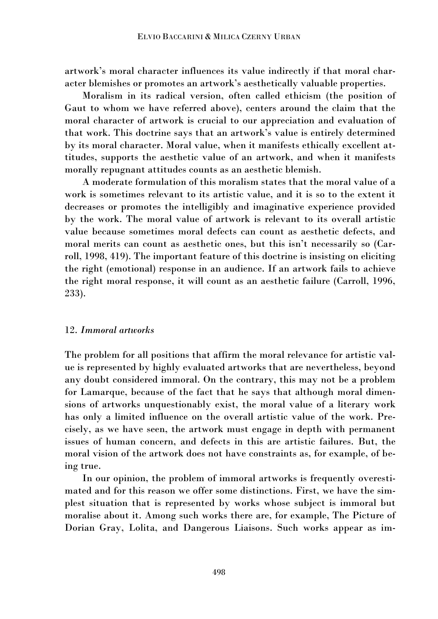artwork's moral character influences its value indirectly if that moral character blemishes or promotes an artwork's aesthetically valuable properties.

Moralism in its radical version, often called ethicism (the position of Gaut to whom we have referred above), centers around the claim that the moral character of artwork is crucial to our appreciation and evaluation of that work. This doctrine says that an artwork's value is entirely determined by its moral character. Moral value, when it manifests ethically excellent attitudes, supports the aesthetic value of an artwork, and when it manifests morally repugnant attitudes counts as an aesthetic blemish.

A moderate formulation of this moralism states that the moral value of a work is sometimes relevant to its artistic value, and it is so to the extent it decreases or promotes the intelligibly and imaginative experience provided by the work. The moral value of artwork is relevant to its overall artistic value because sometimes moral defects can count as aesthetic defects, and moral merits can count as aesthetic ones, but this isn't necessarily so (Carroll, 1998, 419). The important feature of this doctrine is insisting on eliciting the right (emotional) response in an audience. If an artwork fails to achieve the right moral response, it will count as an aesthetic failure (Carroll, 1996, 233).

#### 12. *Immoral artworks*

The problem for all positions that affirm the moral relevance for artistic value is represented by highly evaluated artworks that are nevertheless, beyond any doubt considered immoral. On the contrary, this may not be a problem for Lamarque, because of the fact that he says that although moral dimensions of artworks unquestionably exist, the moral value of a literary work has only a limited influence on the overall artistic value of the work. Precisely, as we have seen, the artwork must engage in depth with permanent issues of human concern, and defects in this are artistic failures. But, the moral vision of the artwork does not have constraints as, for example, of being true.

In our opinion, the problem of immoral artworks is frequently overestimated and for this reason we offer some distinctions. First, we have the simplest situation that is represented by works whose subject is immoral but moralise about it. Among such works there are, for example, The Picture of Dorian Gray, Lolita, and Dangerous Liaisons. Such works appear as im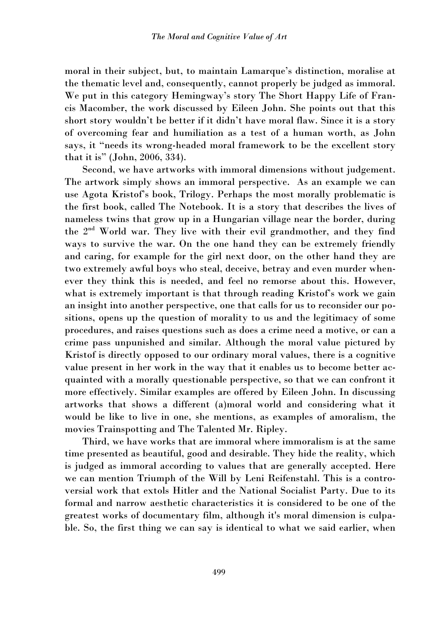moral in their subject, but, to maintain Lamarque's distinction, moralise at the thematic level and, consequently, cannot properly be judged as immoral. We put in this category Hemingway's story The Short Happy Life of Francis Macomber, the work discussed by Eileen John. She points out that this short story wouldn't be better if it didn't have moral flaw. Since it is a story of overcoming fear and humiliation as a test of a human worth, as John says, it "needs its wrong-headed moral framework to be the excellent story that it is" (John, 2006, 334).

Second, we have artworks with immoral dimensions without judgement. The artwork simply shows an immoral perspective. As an example we can use Agota Kristof's book, Trilogy. Perhaps the most morally problematic is the first book, called The Notebook. It is a story that describes the lives of nameless twins that grow up in a Hungarian village near the border, during the 2nd World war. They live with their evil grandmother, and they find ways to survive the war. On the one hand they can be extremely friendly and caring, for example for the girl next door, on the other hand they are two extremely awful boys who steal, deceive, betray and even murder whenever they think this is needed, and feel no remorse about this. However, what is extremely important is that through reading Kristof's work we gain an insight into another perspective, one that calls for us to reconsider our positions, opens up the question of morality to us and the legitimacy of some procedures, and raises questions such as does a crime need a motive, or can a crime pass unpunished and similar. Although the moral value pictured by Kristof is directly opposed to our ordinary moral values, there is a cognitive value present in her work in the way that it enables us to become better acquainted with a morally questionable perspective, so that we can confront it more effectively. Similar examples are offered by Eileen John. In discussing artworks that shows a different (a)moral world and considering what it would be like to live in one, she mentions, as examples of amoralism, the movies Trainspotting and The Talented Mr. Ripley.

Third, we have works that are immoral where immoralism is at the same time presented as beautiful, good and desirable. They hide the reality, which is judged as immoral according to values that are generally accepted. Here we can mention Triumph of the Will by Leni Reifenstahl. This is a controversial work that extols Hitler and the National Socialist Party. Due to its formal and narrow aesthetic characteristics it is considered to be one of the greatest works of documentary film, although it's moral dimension is culpable. So, the first thing we can say is identical to what we said earlier, when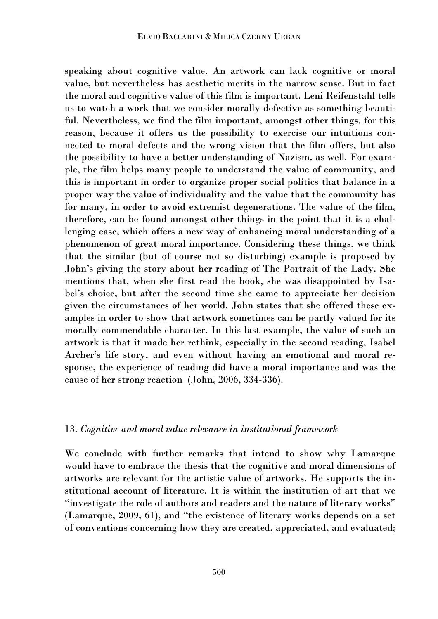speaking about cognitive value. An artwork can lack cognitive or moral value, but nevertheless has aesthetic merits in the narrow sense. But in fact the moral and cognitive value of this film is important. Leni Reifenstahl tells us to watch a work that we consider morally defective as something beautiful. Nevertheless, we find the film important, amongst other things, for this reason, because it offers us the possibility to exercise our intuitions connected to moral defects and the wrong vision that the film offers, but also the possibility to have a better understanding of Nazism, as well. For example, the film helps many people to understand the value of community, and this is important in order to organize proper social politics that balance in a proper way the value of individuality and the value that the community has for many, in order to avoid extremist degenerations. The value of the film, therefore, can be found amongst other things in the point that it is a challenging case, which offers a new way of enhancing moral understanding of a phenomenon of great moral importance. Considering these things, we think that the similar (but of course not so disturbing) example is proposed by John's giving the story about her reading of The Portrait of the Lady. She mentions that, when she first read the book, she was disappointed by Isabel's choice, but after the second time she came to appreciate her decision given the circumstances of her world. John states that she offered these examples in order to show that artwork sometimes can be partly valued for its morally commendable character. In this last example, the value of such an artwork is that it made her rethink, especially in the second reading, Isabel Archer's life story, and even without having an emotional and moral response, the experience of reading did have a moral importance and was the cause of her strong reaction (John, 2006, 334-336).

#### 13. *Cognitive and moral value relevance in institutional framework*

We conclude with further remarks that intend to show why Lamarque would have to embrace the thesis that the cognitive and moral dimensions of artworks are relevant for the artistic value of artworks. He supports the institutional account of literature. It is within the institution of art that we "investigate the role of authors and readers and the nature of literary works" (Lamarque, 2009, 61), and "the existence of literary works depends on a set of conventions concerning how they are created, appreciated, and evaluated;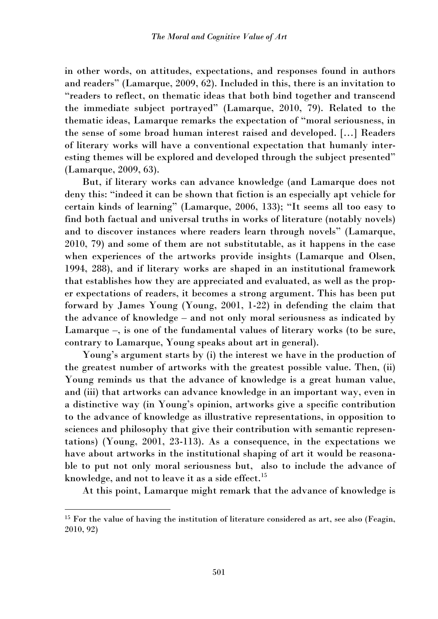in other words, on attitudes, expectations, and responses found in authors and readers" (Lamarque, 2009, 62). Included in this, there is an invitation to "readers to reflect, on thematic ideas that both bind together and transcend the immediate subject portrayed" (Lamarque, 2010, 79). Related to the thematic ideas, Lamarque remarks the expectation of "moral seriousness, in the sense of some broad human interest raised and developed. […] Readers of literary works will have a conventional expectation that humanly interesting themes will be explored and developed through the subject presented" (Lamarque, 2009, 63).

But, if literary works can advance knowledge (and Lamarque does not deny this: "indeed it can be shown that fiction is an especially apt vehicle for certain kinds of learning" (Lamarque, 2006, 133); "It seems all too easy to find both factual and universal truths in works of literature (notably novels) and to discover instances where readers learn through novels" (Lamarque, 2010, 79) and some of them are not substitutable, as it happens in the case when experiences of the artworks provide insights (Lamarque and Olsen, 1994, 288), and if literary works are shaped in an institutional framework that establishes how they are appreciated and evaluated, as well as the proper expectations of readers, it becomes a strong argument. This has been put forward by James Young (Young, 2001, 1-22) in defending the claim that the advance of knowledge – and not only moral seriousness as indicated by Lamarque –, is one of the fundamental values of literary works (to be sure, contrary to Lamarque, Young speaks about art in general).

Young's argument starts by (i) the interest we have in the production of the greatest number of artworks with the greatest possible value. Then, (ii) Young reminds us that the advance of knowledge is a great human value, and (iii) that artworks can advance knowledge in an important way, even in a distinctive way (in Young's opinion, artworks give a specific contribution to the advance of knowledge as illustrative representations, in opposition to sciences and philosophy that give their contribution with semantic representations) (Young, 2001, 23-113). As a consequence, in the expectations we have about artworks in the institutional shaping of art it would be reasonable to put not only moral seriousness but, also to include the advance of knowledge, and not to leave it as a side effect.<sup>15</sup>

At this point, Lamarque might remark that the advance of knowledge is

<sup>&</sup>lt;sup>15</sup> For the value of having the institution of literature considered as art, see also (Feagin, 2010, 92)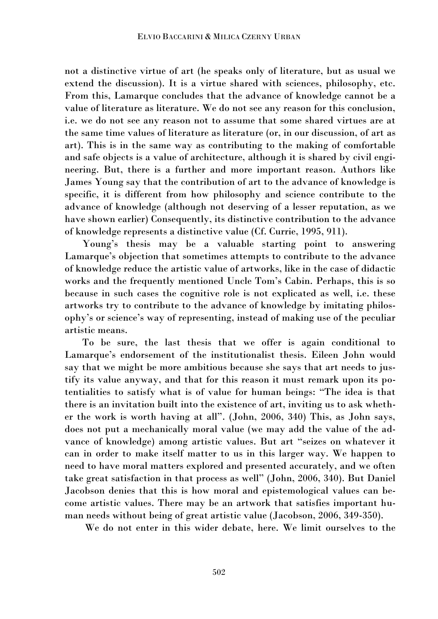not a distinctive virtue of art (he speaks only of literature, but as usual we extend the discussion). It is a virtue shared with sciences, philosophy, etc. From this, Lamarque concludes that the advance of knowledge cannot be a value of literature as literature. We do not see any reason for this conclusion, i.e. we do not see any reason not to assume that some shared virtues are at the same time values of literature as literature (or, in our discussion, of art as art). This is in the same way as contributing to the making of comfortable and safe objects is a value of architecture, although it is shared by civil engineering. But, there is a further and more important reason. Authors like James Young say that the contribution of art to the advance of knowledge is specific, it is different from how philosophy and science contribute to the advance of knowledge (although not deserving of a lesser reputation, as we have shown earlier) Consequently, its distinctive contribution to the advance of knowledge represents a distinctive value (Cf. Currie, 1995, 911).

Young's thesis may be a valuable starting point to answering Lamarque's objection that sometimes attempts to contribute to the advance of knowledge reduce the artistic value of artworks, like in the case of didactic works and the frequently mentioned Uncle Tom's Cabin. Perhaps, this is so because in such cases the cognitive role is not explicated as well, i.e. these artworks try to contribute to the advance of knowledge by imitating philosophy's or science's way of representing, instead of making use of the peculiar artistic means.

To be sure, the last thesis that we offer is again conditional to Lamarque's endorsement of the institutionalist thesis. Eileen John would say that we might be more ambitious because she says that art needs to justify its value anyway, and that for this reason it must remark upon its potentialities to satisfy what is of value for human beings: "The idea is that there is an invitation built into the existence of art, inviting us to ask whether the work is worth having at all". (John, 2006, 340) This, as John says, does not put a mechanically moral value (we may add the value of the advance of knowledge) among artistic values. But art "seizes on whatever it can in order to make itself matter to us in this larger way. We happen to need to have moral matters explored and presented accurately, and we often take great satisfaction in that process as well" (John, 2006, 340). But Daniel Jacobson denies that this is how moral and epistemological values can become artistic values. There may be an artwork that satisfies important human needs without being of great artistic value (Jacobson, 2006, 349-350).

We do not enter in this wider debate, here. We limit ourselves to the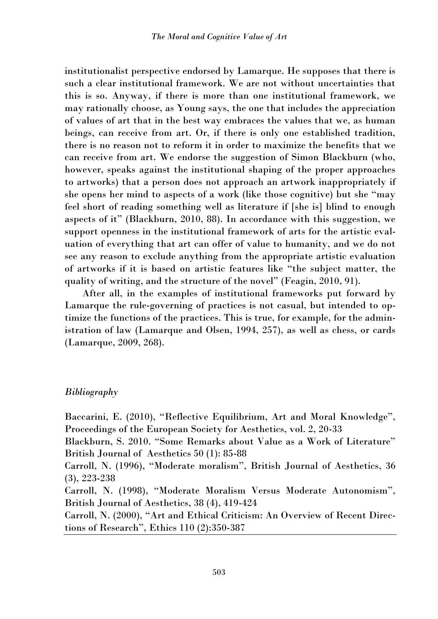institutionalist perspective endorsed by Lamarque. He supposes that there is such a clear institutional framework. We are not without uncertainties that this is so. Anyway, if there is more than one institutional framework, we may rationally choose, as Young says, the one that includes the appreciation of values of art that in the best way embraces the values that we, as human beings, can receive from art. Or, if there is only one established tradition, there is no reason not to reform it in order to maximize the benefits that we can receive from art. We endorse the suggestion of Simon Blackburn (who, however, speaks against the institutional shaping of the proper approaches to artworks) that a person does not approach an artwork inappropriately if she opens her mind to aspects of a work (like those cognitive) but she "may feel short of reading something well as literature if [she is] blind to enough aspects of it" (Blackburn, 2010, 88). In accordance with this suggestion, we support openness in the institutional framework of arts for the artistic evaluation of everything that art can offer of value to humanity, and we do not see any reason to exclude anything from the appropriate artistic evaluation of artworks if it is based on artistic features like "the subject matter, the quality of writing, and the structure of the novel" (Feagin, 2010, 91).

After all, in the examples of institutional frameworks put forward by Lamarque the rule-governing of practices is not casual, but intended to optimize the functions of the practices. This is true, for example, for the administration of law (Lamarque and Olsen, 1994, 257), as well as chess, or cards (Lamarque, 2009, 268).

## *Bibliography*

Baccarini, E. (2010), "Reflective Equilibrium, Art and Moral Knowledge", Proceedings of the European Society for Aesthetics, vol. 2, 20-33

Blackburn, S. 2010. "Some Remarks about Value as a Work of Literature" British Journal of Aesthetics 50 (1): 85-88

Carroll, N. (1996), "Moderate moralism", British Journal of Aesthetics, 36 (3), 223-238

Carroll, N. (1998), "Moderate Moralism Versus Moderate Autonomism", British Journal of Aesthetics, 38 (4), 419-424

Carroll, N. (2000), "Art and Ethical Criticism: An Overview of Recent Directions of Research", Ethics 110 (2):350-387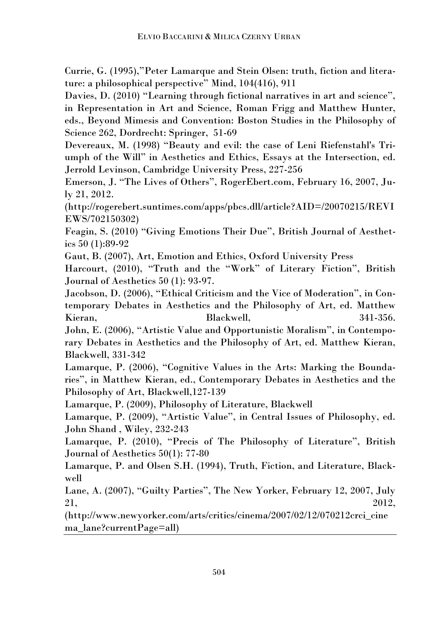Currie, G. (1995),"Peter Lamarque and Stein Olsen: truth, fiction and literature: a philosophical perspective" Mind, 104(416), 911

Davies, D. (2010) "Learning through fictional narratives in art and science", in Representation in Art and Science, Roman Frigg and Matthew Hunter, eds., Beyond Mimesis and Convention: Boston Studies in the Philosophy of Science 262, Dordrecht: Springer, 51-69

Devereaux, M. (1998) "Beauty and evil: the case of Leni Riefenstahl's Triumph of the Will" in Aesthetics and Ethics, Essays at the Intersection, ed. Jerrold Levinson, Cambridge University Press, 227-256

Emerson, J. "The Lives of Others", RogerEbert.com, February 16, 2007, July 21, 2012.

(http://rogerebert.suntimes.com/apps/pbcs.dll/article?AID=/20070215/REVI EWS/702150302)

Feagin, S. (2010) "Giving Emotions Their Due", British Journal of Aesthetics 50 (1):89-92

Gaut, B. (2007), Art, Emotion and Ethics, Oxford University Press

Harcourt, (2010), "Truth and the "Work" of Literary Fiction", British Journal of Aesthetics 50 (1): 93-97.

Jacobson, D. (2006), "Ethical Criticism and the Vice of Moderation", in Contemporary Debates in Aesthetics and the Philosophy of Art, ed. Matthew Kieran, Blackwell, Blackwell, 341-356.

John, E. (2006), "Artistic Value and Opportunistic Moralism", in Contemporary Debates in Aesthetics and the Philosophy of Art, ed. Matthew Kieran, Blackwell, 331-342

Lamarque, P. (2006), "Cognitive Values in the Arts: Marking the Boundaries", in Matthew Kieran, ed., Contemporary Debates in Aesthetics and the Philosophy of Art, Blackwell,127-139

Lamarque, P. (2009), Philosophy of Literature, Blackwell

Lamarque, P. (2009), "Artistic Value", in Central Issues of Philosophy, ed. John Shand , Wiley, 232-243

Lamarque, P. (2010), "Precis of The Philosophy of Literature", British Journal of Aesthetics 50(1): 77-80

Lamarque, P. and Olsen S.H. (1994), Truth, Fiction, and Literature, Blackwell

Lane, A. (2007), "Guilty Parties", The New Yorker, February 12, 2007, July 21, 2012,

(http://www.newyorker.com/arts/critics/cinema/2007/02/12/070212crci\_cine ma\_lane?currentPage=all)